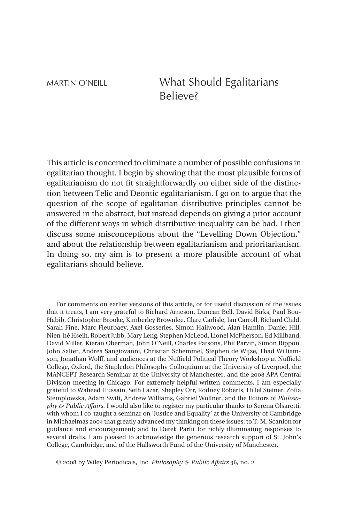## MARTIN O'NEILL

# What Should Egalitarians Believe?

This article is concerned to eliminate a number of possible confusions in egalitarian thought. I begin by showing that the most plausible forms of egalitarianism do not fit straightforwardly on either side of the distinction between Telic and Deontic egalitarianism. I go on to argue that the question of the scope of egalitarian distributive principles cannot be answered in the abstract, but instead depends on giving a prior account of the different ways in which distributive inequality can be bad. I then discuss some misconceptions about the "Levelling Down Objection," and about the relationship between egalitarianism and prioritarianism. In doing so, my aim is to present a more plausible account of what egalitarians should believe.

For comments on earlier versions of this article, or for useful discussion of the issues that it treats, I am very grateful to Richard Arneson, Duncan Bell, David Birks, Paul Bou-Habib, Christopher Brooke, Kimberley Brownlee, Clare Carlisle, Ian Carroll, Richard Child, Sarah Fine, Marc Fleurbaey, Axel Gosseries, Simon Hailwood, Alan Hamlin, Daniel Hill, Nien-hê Hseih, Robert Jubb, Mary Leng, Stephen McLeod, Lionel McPherson, Ed Miliband, David Miller, Kieran Oberman, John O'Neill, Charles Parsons, Phil Parvin, Simon Rippon, John Salter, Andrea Sangiovanni, Christian Schemmel, Stephen de Wijze, Thad Williamson, Jonathan Wolff, and audiences at the Nuffield Political Theory Workshop at Nuffield College, Oxford, the Stapledon Philosophy Colloquium at the University of Liverpool, the MANCEPT Research Seminar at the University of Manchester, and the 2008 APA Central Division meeting in Chicago. For extremely helpful written comments, I am especially grateful to Waheed Hussain, Seth Lazar, Shepley Orr, Rodney Roberts, Hillel Steiner, Zofia Stemplowska, Adam Swift, Andrew Williams, Gabriel Wollner, and the Editors of *Philosophy & Public Affairs*. I would also like to register my particular thanks to Serena Olsaretti, with whom I co-taught a seminar on 'Justice and Equality' at the University of Cambridge in Michaelmas 2004 that greatly advanced my thinking on these issues; to T. M. Scanlon for guidance and encouragement; and to Derek Parfit for richly illuminating responses to several drafts. I am pleased to acknowledge the generous research support of St. John's College, Cambridge, and of the Hallsworth Fund of the University of Manchester.

© 2008 by Wiley Periodicals, Inc. *Philosophy & Public Affairs* 36, no. 2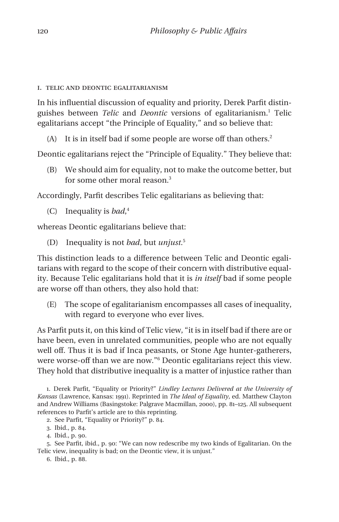## i. telic and deontic egalitarianism

In his influential discussion of equality and priority, Derek Parfit distinguishes between *Telic* and *Deontic* versions of egalitarianism.1 Telic egalitarians accept "the Principle of Equality," and so believe that:

(A) It is in itself bad if some people are worse off than others.<sup>2</sup>

Deontic egalitarians reject the "Principle of Equality." They believe that:

(B) We should aim for equality, not to make the outcome better, but for some other moral reason.3

Accordingly, Parfit describes Telic egalitarians as believing that:

(C) Inequality is *bad*, 4

whereas Deontic egalitarians believe that:

(D) Inequality is not *bad*, but *unjust*. 5

This distinction leads to a difference between Telic and Deontic egalitarians with regard to the scope of their concern with distributive equality. Because Telic egalitarians hold that it is *in itself* bad if some people are worse off than others, they also hold that:

(E) The scope of egalitarianism encompasses all cases of inequality, with regard to everyone who ever lives.

As Parfit puts it, on this kind of Telic view, "it is in itself bad if there are or have been, even in unrelated communities, people who are not equally well off. Thus it is bad if Inca peasants, or Stone Age hunter-gatherers, were worse-off than we are now."6 Deontic egalitarians reject this view. They hold that distributive inequality is a matter of injustice rather than

5. See Parfit, ibid., p. 90: "We can now redescribe my two kinds of Egalitarian. On the Telic view, inequality is bad; on the Deontic view, it is unjust."

6. Ibid., p. 88.

<sup>1</sup>. Derek Parfit, "Equality or Priority?" *Lindley Lectures Delivered at the University of Kansas* (Lawrence, Kansas: 1991). Reprinted in *The Ideal of Equality*, ed. Matthew Clayton and Andrew Williams (Basingstoke: Palgrave Macmillan, 2000), pp. 81–125. All subsequent references to Parfit's article are to this reprinting.

<sup>2</sup>. See Parfit, "Equality or Priority?" p. 84.

<sup>3</sup>. Ibid., p. 84.

<sup>4</sup>. Ibid., p. 90.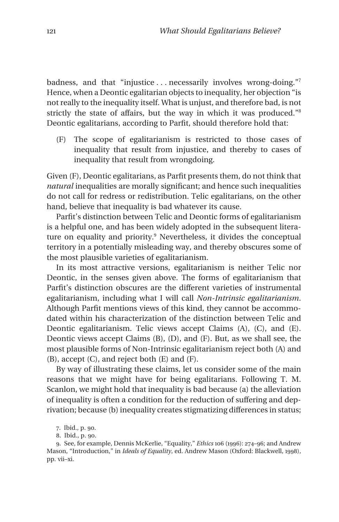badness, and that "injustice ... necessarily involves wrong-doing."7 Hence, when a Deontic egalitarian objects to inequality, her objection "is not really to the inequality itself. What is unjust, and therefore bad, is not strictly the state of affairs, but the way in which it was produced."8 Deontic egalitarians, according to Parfit, should therefore hold that:

(F) The scope of egalitarianism is restricted to those cases of inequality that result from injustice, and thereby to cases of inequality that result from wrongdoing.

Given (F), Deontic egalitarians, as Parfit presents them, do not think that *natural* inequalities are morally significant; and hence such inequalities do not call for redress or redistribution. Telic egalitarians, on the other hand, believe that inequality is bad whatever its cause.

Parfit's distinction between Telic and Deontic forms of egalitarianism is a helpful one, and has been widely adopted in the subsequent literature on equality and priority.9 Nevertheless, it divides the conceptual territory in a potentially misleading way, and thereby obscures some of the most plausible varieties of egalitarianism.

In its most attractive versions, egalitarianism is neither Telic nor Deontic, in the senses given above. The forms of egalitarianism that Parfit's distinction obscures are the different varieties of instrumental egalitarianism, including what I will call *Non-Intrinsic egalitarianism*. Although Parfit mentions views of this kind, they cannot be accommodated within his characterization of the distinction between Telic and Deontic egalitarianism. Telic views accept Claims (A), (C), and (E). Deontic views accept Claims (B), (D), and (F). But, as we shall see, the most plausible forms of Non-Intrinsic egalitarianism reject both (A) and (B), accept (C), and reject both (E) and (F).

By way of illustrating these claims, let us consider some of the main reasons that we might have for being egalitarians. Following T. M. Scanlon, we might hold that inequality is bad because (a) the alleviation of inequality is often a condition for the reduction of suffering and deprivation; because (b) inequality creates stigmatizing differences in status;

<sup>7</sup>. Ibid., p. 90.

<sup>8</sup>. Ibid., p. 90.

<sup>9</sup>. See, for example, Dennis McKerlie, "Equality," *Ethics* 106 (1996): 274–96; and Andrew Mason, "Introduction," in *Ideals of Equality*, ed. Andrew Mason (Oxford: Blackwell, 1998), pp. vii–xi.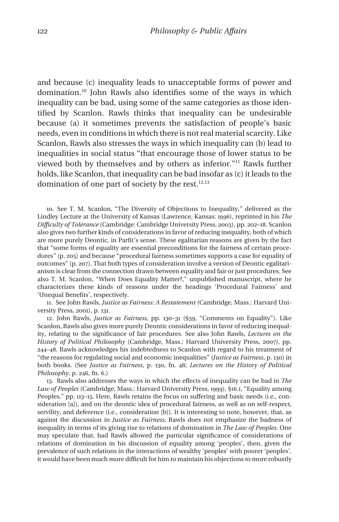and because (c) inequality leads to unacceptable forms of power and domination.10 John Rawls also identifies some of the ways in which inequality can be bad, using some of the same categories as those identified by Scanlon. Rawls thinks that inequality can be undesirable because (a) it sometimes prevents the satisfaction of people's basic needs, even in conditions in which there is not real material scarcity. Like Scanlon, Rawls also stresses the ways in which inequality can (b) lead to inequalities in social status "that encourage those of lower status to be viewed both by themselves and by others as inferior."11 Rawls further holds, like Scanlon, that inequality can be bad insofar as (c) it leads to the domination of one part of society by the rest.<sup>12,13</sup>

10. See T. M. Scanlon, "The Diversity of Objections to Inequality," delivered as the Lindley Lecture at the University of Kansas (Lawrence, Kansas: 1996), reprinted in his *The Difficulty of Tolerance* (Cambridge: Cambridge University Press, 2003), pp. 202–18. Scanlon also gives two further kinds of considerations in favor of reducing inequality, both of which are more purely Deontic, in Parfit's sense. These egalitarian reasons are given by the fact that "some forms of equality are essential preconditions for the fairness of certain procedures" (p. 205) and because "procedural fairness sometimes supports a case for equality of outcomes" (p. 207). That both types of consideration involve a version of Deontic egalitarianism is clear from the connection drawn between equality and fair or just procedures. See also T. M. Scanlon, "When Does Equality Matter?," unpublished manuscript, where he characterizes these kinds of reasons under the headings 'Procedural Fairness' and 'Unequal Benefits', respectively.

11. See John Rawls, *Justice as Fairness: A Restatement* (Cambridge, Mass.: Harvard University Press, 2001), p. 131.

12. John Rawls, *Justice as Fairness*, pp. 130–31 (§39, "Comments on Equality"). Like Scanlon, Rawls also gives more purely Deontic considerations in favor of reducing inequality, relating to the significance of fair procedures. See also John Rawls, *Lectures on the History of Political Philosophy* (Cambridge, Mass.: Harvard University Press, 2007), pp. 244–48. Rawls acknowledges his indebtedness to Scanlon with regard to his treatment of "the reasons for regulating social and economic inequalities" (*Justice as Fairness*, p. 130) in both books. (See *Justice as Fairness*, p. 130, fn. 48; *Lectures on the History of Political Philosophy*, p. 246, fn. 6.)

13. Rawls also addresses the ways in which the effects of inequality can be bad in *The Law of Peoples* (Cambridge, Mass.: Harvard University Press, 1999), §16.1, "Equality among Peoples," pp. 113–15. Here, Rawls retains the focus on suffering and basic needs (i.e., consideration [a]), and on the deontic idea of procedural fairness, as well as on self-respect, servility, and deference (i.e., consideration [b]). It is interesting to note, however, that, as against the discussion in *Justice as Fairness*, Rawls does not emphasize the badness of inequality in terms of its giving rise to relations of domination in *The Law of Peoples*. One may speculate that, had Rawls allowed the particular significance of considerations of relations of domination in his discussion of equality among 'peoples', then, given the prevalence of such relations in the interactions of wealthy 'peoples' with poorer 'peoples', it would have been much more difficult for him to maintain his objections to more robustly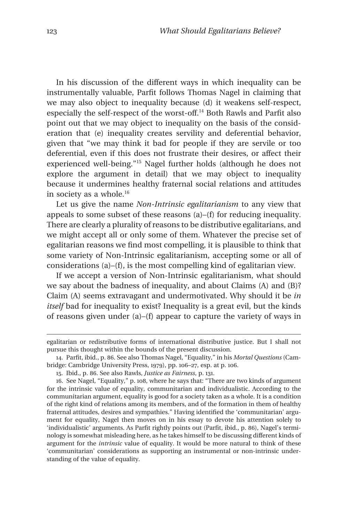In his discussion of the different ways in which inequality can be instrumentally valuable, Parfit follows Thomas Nagel in claiming that we may also object to inequality because (d) it weakens self-respect, especially the self-respect of the worst-off.<sup>14</sup> Both Rawls and Parfit also point out that we may object to inequality on the basis of the consideration that (e) inequality creates servility and deferential behavior, given that "we may think it bad for people if they are servile or too deferential, even if this does not frustrate their desires, or affect their experienced well-being."15 Nagel further holds (although he does not explore the argument in detail) that we may object to inequality because it undermines healthy fraternal social relations and attitudes in society as a whole.<sup>16</sup>

Let us give the name *Non-Intrinsic egalitarianism* to any view that appeals to some subset of these reasons (a)–(f) for reducing inequality. There are clearly a plurality of reasons to be distributive egalitarians, and we might accept all or only some of them. Whatever the precise set of egalitarian reasons we find most compelling, it is plausible to think that some variety of Non-Intrinsic egalitarianism, accepting some or all of considerations (a)–(f), is the most compelling kind of egalitarian view.

If we accept a version of Non-Intrinsic egalitarianism, what should we say about the badness of inequality, and about Claims (A) and (B)? Claim (A) seems extravagant and undermotivated. Why should it be *in itself* bad for inequality to exist? Inequality is a great evil, but the kinds of reasons given under  $(a)$ – $(f)$  appear to capture the variety of ways in

egalitarian or redistributive forms of international distributive justice. But I shall not pursue this thought within the bounds of the present discussion.

<sup>14</sup>. Parfit, ibid., p. 86. See also Thomas Nagel, "Equality," in his *Mortal Questions* (Cambridge: Cambridge University Press, 1979), pp. 106–27, esp. at p. 106.

<sup>15</sup>. Ibid., p. 86. See also Rawls, *Justice as Fairness*, p. 131.

<sup>16</sup>. See Nagel, "Equality," p. 108, where he says that: "There are two kinds of argument for the intrinsic value of equality, communitarian and individualistic. According to the communitarian argument, equality is good for a society taken as a whole. It is a condition of the right kind of relations among its members, and of the formation in them of healthy fraternal attitudes, desires and sympathies." Having identified the 'communitarian' argument for equality, Nagel then moves on in his essay to devote his attention solely to 'individualistic' arguments. As Parfit rightly points out (Parfit, ibid., p. 86), Nagel's terminology is somewhat misleading here, as he takes himself to be discussing different kinds of argument for the *intrinsic* value of equality. It would be more natural to think of these 'communitarian' considerations as supporting an instrumental or non-intrinsic understanding of the value of equality.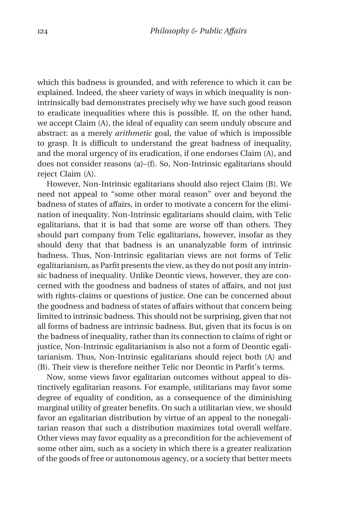which this badness is grounded, and with reference to which it can be explained. Indeed, the sheer variety of ways in which inequality is nonintrinsically bad demonstrates precisely why we have such good reason to eradicate inequalities where this is possible. If, on the other hand, we accept Claim (A), the ideal of equality can seem unduly obscure and abstract: as a merely *arithmetic* goal, the value of which is impossible to grasp. It is difficult to understand the great badness of inequality, and the moral urgency of its eradication, if one endorses Claim (A), and does not consider reasons (a)–(f). So, Non-Intrinsic egalitarians should reject Claim (A).

However, Non-Intrinsic egalitarians should also reject Claim (B). We need not appeal to "some other moral reason" over and beyond the badness of states of affairs, in order to motivate a concern for the elimination of inequality. Non-Intrinsic egalitarians should claim, with Telic egalitarians, that it is bad that some are worse off than others. They should part company from Telic egalitarians, however, insofar as they should deny that that badness is an unanalyzable form of intrinsic badness. Thus, Non-Intrinsic egalitarian views are not forms of Telic egalitarianism, as Parfit presents the view, as they do not posit any intrinsic badness of inequality. Unlike Deontic views, however, they are concerned with the goodness and badness of states of affairs, and not just with rights-claims or questions of justice. One can be concerned about the goodness and badness of states of affairs without that concern being limited to intrinsic badness. This should not be surprising, given that not all forms of badness are intrinsic badness. But, given that its focus is on the badness of inequality, rather than its connection to claims of right or justice, Non-Intrinsic egalitarianism is also not a form of Deontic egalitarianism. Thus, Non-Intrinsic egalitarians should reject both (A) and (B). Their view is therefore neither Telic nor Deontic in Parfit's terms.

Now, some views favor egalitarian outcomes without appeal to distinctively egalitarian reasons. For example, utilitarians may favor some degree of equality of condition, as a consequence of the diminishing marginal utility of greater benefits. On such a utilitarian view, we should favor an egalitarian distribution by virtue of an appeal to the nonegalitarian reason that such a distribution maximizes total overall welfare. Other views may favor equality as a precondition for the achievement of some other aim, such as a society in which there is a greater realization of the goods of free or autonomous agency, or a society that better meets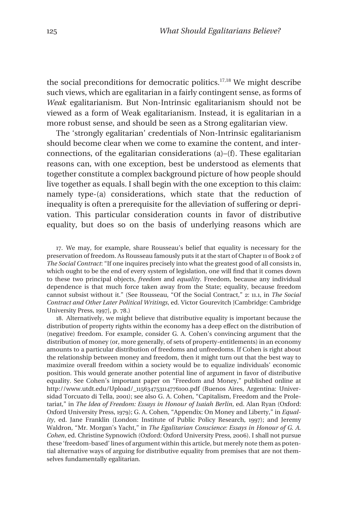the social preconditions for democratic politics. $17,18$  We might describe such views, which are egalitarian in a fairly contingent sense, as forms of *Weak* egalitarianism. But Non-Intrinsic egalitarianism should not be viewed as a form of Weak egalitarianism. Instead, it is egalitarian in a more robust sense, and should be seen as a Strong egalitarian view.

The 'strongly egalitarian' credentials of Non-Intrinsic egalitarianism should become clear when we come to examine the content, and interconnections, of the egalitarian considerations (a)–(f). These egalitarian reasons can, with one exception, best be understood as elements that together constitute a complex background picture of how people should live together as equals. I shall begin with the one exception to this claim: namely type-(a) considerations, which state that the reduction of inequality is often a prerequisite for the alleviation of suffering or deprivation. This particular consideration counts in favor of distributive equality, but does so on the basis of underlying reasons which are

17. We may, for example, share Rousseau's belief that equality is necessary for the preservation of freedom. As Rousseau famously puts it at the start of Chapter 11 of Book 2 of *The Social Contract*: "If one inquires precisely into what the greatest good of all consists in, which ought to be the end of every system of legislation, one will find that it comes down to these two principal objects, *freedom* and *equality*. Freedom, because any individual dependence is that much force taken away from the State; equality, because freedom cannot subsist without it." (See Rousseau, "Of the Social Contract," 2: 11.1, in *The Social Contract and Other Later Political Writings*, ed. Victor Gourevitch [Cambridge: Cambridge University Press, 1997], p. 78.)

18. Alternatively, we might believe that distributive equality is important because the distribution of property rights within the economy has a deep effect on the distribution of (negative) freedom. For example, consider G. A. Cohen's convincing argument that the distribution of money (or, more generally, of sets of property-entitlements) in an economy amounts to a particular distribution of freedoms and unfreedoms. If Cohen is right about the relationship between money and freedom, then it might turn out that the best way to maximize overall freedom within a society would be to equalize individuals' economic position. This would generate another potential line of argument in favor of distributive equality. See Cohen's important paper on "Freedom and Money," published online at [http://www.utdt.edu/Upload/\\_](http://www.utdt.edu/Upload/_115634753114776100.pdf)115634753114776100.pdf (Buenos Aires, Argentina: Universidad Torcuato di Tella, 2001); see also G. A. Cohen, "Capitalism, Freedom and the Proletariat," in *The Idea of Freedom: Essays in Honour of Isaiah Berlin*, ed. Alan Ryan (Oxford: Oxford University Press, 1979); G. A. Cohen, "Appendix: On Money and Liberty," in *Equality*, ed. Jane Franklin (London: Institute of Public Policy Research, 1997); and Jeremy Waldron, "Mr. Morgan's Yacht," in *The Egalitarian Conscience: Essays in Honour of G. A. Cohen*, ed. Christine Sypnowich (Oxford: Oxford University Press, 2006). I shall not pursue these 'freedom-based' lines of argument within this article, but merely note them as potential alternative ways of arguing for distributive equality from premises that are not themselves fundamentally egalitarian.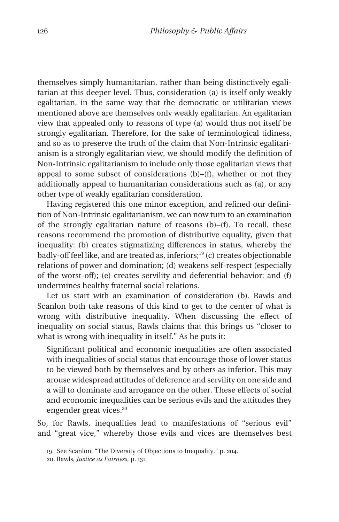themselves simply humanitarian, rather than being distinctively egalitarian at this deeper level. Thus, consideration (a) is itself only weakly egalitarian, in the same way that the democratic or utilitarian views mentioned above are themselves only weakly egalitarian. An egalitarian view that appealed only to reasons of type (a) would thus not itself be strongly egalitarian. Therefore, for the sake of terminological tidiness, and so as to preserve the truth of the claim that Non-Intrinsic egalitarianism is a strongly egalitarian view, we should modify the definition of Non-Intrinsic egalitarianism to include only those egalitarian views that appeal to some subset of considerations  $(b)$ – $(f)$ , whether or not they additionally appeal to humanitarian considerations such as (a), or any other type of weakly egalitarian consideration.

Having registered this one minor exception, and refined our definition of Non-Intrinsic egalitarianism, we can now turn to an examination of the strongly egalitarian nature of reasons (b)–(f). To recall, these reasons recommend the promotion of distributive equality, given that inequality: (b) creates stigmatizing differences in status, whereby the badly-off feel like, and are treated as, inferiors;<sup>19</sup> (c) creates objectionable relations of power and domination; (d) weakens self-respect (especially of the worst-off); (e) creates servility and deferential behavior; and (f) undermines healthy fraternal social relations.

Let us start with an examination of consideration (b). Rawls and Scanlon both take reasons of this kind to get to the center of what is wrong with distributive inequality. When discussing the effect of inequality on social status, Rawls claims that this brings us "closer to what is wrong with inequality in itself." As he puts it:

Significant political and economic inequalities are often associated with inequalities of social status that encourage those of lower status to be viewed both by themselves and by others as inferior. This may arouse widespread attitudes of deference and servility on one side and a will to dominate and arrogance on the other. These effects of social and economic inequalities can be serious evils and the attitudes they engender great vices.<sup>20</sup>

So, for Rawls, inequalities lead to manifestations of "serious evil" and "great vice," whereby those evils and vices are themselves best

<sup>19</sup>. See Scanlon, "The Diversity of Objections to Inequality," p. 204.

<sup>20</sup>. Rawls, *Justice as Fairness*, p. 131.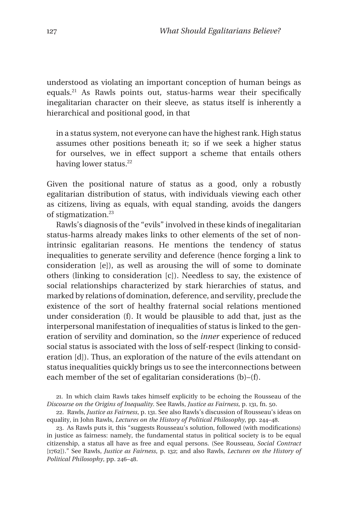understood as violating an important conception of human beings as equals.21 As Rawls points out, status-harms wear their specifically inegalitarian character on their sleeve, as status itself is inherently a hierarchical and positional good, in that

in a status system, not everyone can have the highest rank. High status assumes other positions beneath it; so if we seek a higher status for ourselves, we in effect support a scheme that entails others having lower status.<sup>22</sup>

Given the positional nature of status as a good, only a robustly egalitarian distribution of status, with individuals viewing each other as citizens, living as equals, with equal standing, avoids the dangers of stigmatization.23

Rawls's diagnosis of the "evils" involved in these kinds of inegalitarian status-harms already makes links to other elements of the set of nonintrinsic egalitarian reasons. He mentions the tendency of status inequalities to generate servility and deference (hence forging a link to consideration [e]), as well as arousing the will of some to dominate others (linking to consideration [c]). Needless to say, the existence of social relationships characterized by stark hierarchies of status, and marked by relations of domination, deference, and servility, preclude the existence of the sort of healthy fraternal social relations mentioned under consideration (f). It would be plausible to add that, just as the interpersonal manifestation of inequalities of status is linked to the generation of servility and domination, so the *inner* experience of reduced social status is associated with the loss of self-respect (linking to consideration [d]). Thus, an exploration of the nature of the evils attendant on status inequalities quickly brings us to see the interconnections between each member of the set of egalitarian considerations (b)–(f).

21. In which claim Rawls takes himself explicitly to be echoing the Rousseau of the *Discourse on the Origins of Inequality*. See Rawls, *Justice as Fairness*, p. 131, fn. 50.

22. Rawls, *Justice as Fairness*, p. 131. See also Rawls's discussion of Rousseau's ideas on equality, in John Rawls, *Lectures on the History of Political Philosophy*, pp. 244–48.

23. As Rawls puts it, this "suggests Rousseau's solution, followed (with modifications) in justice as fairness: namely, the fundamental status in political society is to be equal citizenship, a status all have as free and equal persons. (See Rousseau, *Social Contract* [1762])." See Rawls, *Justice as Fairness*, p. 132; and also Rawls, *Lectures on the History of Political Philosophy*, pp. 246–48.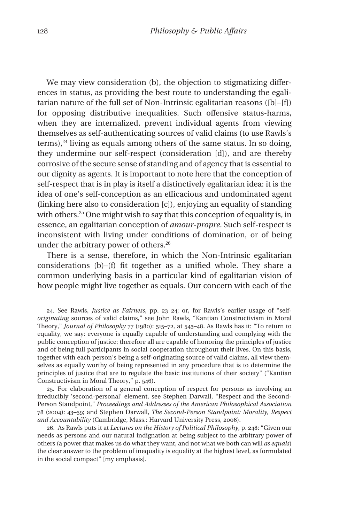We may view consideration (b), the objection to stigmatizing differences in status, as providing the best route to understanding the egalitarian nature of the full set of Non-Intrinsic egalitarian reasons ([b]–[f]) for opposing distributive inequalities. Such offensive status-harms, when they are internalized, prevent individual agents from viewing themselves as self-authenticating sources of valid claims (to use Rawls's terms), $^{24}$  living as equals among others of the same status. In so doing, they undermine our self-respect (consideration [d]), and are thereby corrosive of the secure sense of standing and of agency that is essential to our dignity as agents. It is important to note here that the conception of self-respect that is in play is itself a distinctively egalitarian idea: it is the idea of one's self-conception as an efficacious and undominated agent (linking here also to consideration [c]), enjoying an equality of standing with others.<sup>25</sup> One might wish to say that this conception of equality is, in essence, an egalitarian conception of *amour-propre*. Such self-respect is inconsistent with living under conditions of domination, or of being under the arbitrary power of others.<sup>26</sup>

There is a sense, therefore, in which the Non-Intrinsic egalitarian considerations (b)–(f) fit together as a unified whole. They share a common underlying basis in a particular kind of egalitarian vision of how people might live together as equals. Our concern with each of the

24. See Rawls, *Justice as Fairness*, pp. 23–24; or, for Rawls's earlier usage of "self*originating* sources of valid claims," see John Rawls, "Kantian Constructivism in Moral Theory," *Journal of Philosophy* 77 (1980): 515–72, at 543–48. As Rawls has it: "To return to equality, we say: everyone is equally capable of understanding and complying with the public conception of justice; therefore all are capable of honoring the principles of justice and of being full participants in social cooperation throughout their lives. On this basis, together with each person's being a self-originating source of valid claims, all view themselves as equally worthy of being represented in any procedure that is to determine the principles of justice that are to regulate the basic institutions of their society" ("Kantian Constructivism in Moral Theory," p. 546).

25. For elaboration of a general conception of respect for persons as involving an irreducibly 'second-personal' element, see Stephen Darwall, "Respect and the Second-Person Standpoint," *Proceedings and Addresses of the American Philosophical Association* 78 (2004): 43–59; and Stephen Darwall, *The Second-Person Standpoint: Morality, Respect and Accountability* (Cambridge, Mass.: Harvard University Press, 2006).

26. As Rawls puts it at *Lectures on the History of Political Philosophy*, p. 248: "Given our needs as persons and our natural indignation at being subject to the arbitrary power of others (a power that makes us do what they want, and not what we both can will *as equals*) the clear answer to the problem of inequality is equality at the highest level, as formulated in the social compact" [my emphasis].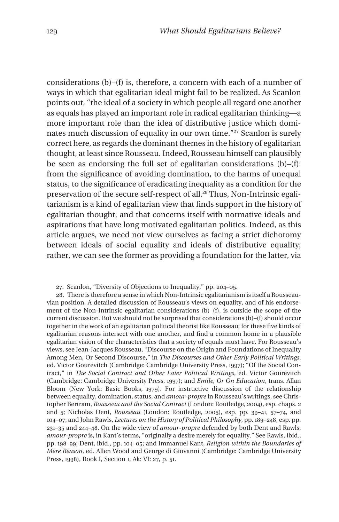considerations (b)–(f) is, therefore, a concern with each of a number of ways in which that egalitarian ideal might fail to be realized. As Scanlon points out, "the ideal of a society in which people all regard one another as equals has played an important role in radical egalitarian thinking—a more important role than the idea of distributive justice which dominates much discussion of equality in our own time."27 Scanlon is surely correct here, as regards the dominant themes in the history of egalitarian thought, at least since Rousseau. Indeed, Rousseau himself can plausibly be seen as endorsing the full set of egalitarian considerations  $(b)$ – $(f)$ : from the significance of avoiding domination, to the harms of unequal status, to the significance of eradicating inequality as a condition for the preservation of the secure self-respect of all.28 Thus, Non-Intrinsic egalitarianism is a kind of egalitarian view that finds support in the history of egalitarian thought, and that concerns itself with normative ideals and aspirations that have long motivated egalitarian politics. Indeed, as this article argues, we need not view ourselves as facing a strict dichotomy between ideals of social equality and ideals of distributive equality; rather, we can see the former as providing a foundation for the latter, via

<sup>27</sup>. Scanlon, "Diversity of Objections to Inequality," pp. 204–05.

<sup>28</sup>. There is therefore a sense in which Non-Intrinsic egalitarianism is itself a Rousseauvian position. A detailed discussion of Rousseau's views on equality, and of his endorsement of the Non-Intrinsic egalitarian considerations (b)–(f), is outside the scope of the current discussion. But we should not be surprised that considerations (b)–(f) should occur together in the work of an egalitarian political theorist like Rousseau; for these five kinds of egalitarian reasons intersect with one another, and find a common home in a plausible egalitarian vision of the characteristics that a society of equals must have. For Rousseau's views, see Jean-Jacques Rousseau, "Discourse on the Origin and Foundations of Inequality Among Men, Or Second Discourse," in *The Discourses and Other Early Political Writings*, ed. Victor Gourevitch (Cambridge: Cambridge University Press, 1997); "Of the Social Contract," in *The Social Contract and Other Later Political Writings*, ed. Victor Gourevitch (Cambridge: Cambridge University Press, 1997); and *Emile, Or On Education*, trans. Allan Bloom (New York: Basic Books, 1979). For instructive discussion of the relationship between equality, domination, status, and *amour-propre* in Rousseau's writings, see Christopher Bertram, *Rousseau and the Social Contract* (London: Routledge, 2004), esp. chaps. 2 and 5; Nicholas Dent, *Rousseau* (London: Routledge, 2005), esp. pp. 39–41, 57–74, and 104–07; and John Rawls, *Lectures on the History of Political Philosophy*, pp. 189–248, esp. pp. 231–35 and 244–48. On the wide view of *amour-propre* defended by both Dent and Rawls, *amour-propre* is, in Kant's terms, "originally a desire merely for equality." See Rawls, ibid., pp. 198–99; Dent, ibid., pp. 104–05; and Immanuel Kant, *Religion within the Boundaries of Mere Reason*, ed. Allen Wood and George di Giovanni (Cambridge: Cambridge University Press, 1998), Book I, Section 1, Ak: VI: 27, p. 51.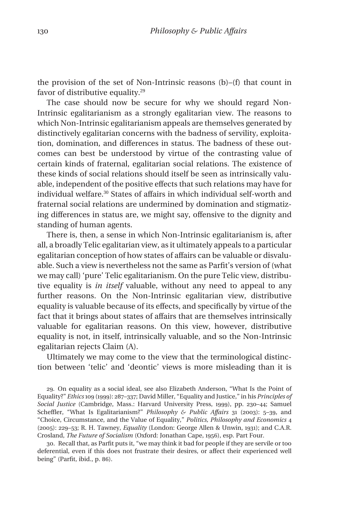the provision of the set of Non-Intrinsic reasons (b)–(f) that count in favor of distributive equality.29

The case should now be secure for why we should regard Non-Intrinsic egalitarianism as a strongly egalitarian view. The reasons to which Non-Intrinsic egalitarianism appeals are themselves generated by distinctively egalitarian concerns with the badness of servility, exploitation, domination, and differences in status. The badness of these outcomes can best be understood by virtue of the contrasting value of certain kinds of fraternal, egalitarian social relations. The existence of these kinds of social relations should itself be seen as intrinsically valuable, independent of the positive effects that such relations may have for individual welfare.30 States of affairs in which individual self-worth and fraternal social relations are undermined by domination and stigmatizing differences in status are, we might say, offensive to the dignity and standing of human agents.

There is, then, a sense in which Non-Intrinsic egalitarianism is, after all, a broadly Telic egalitarian view, as it ultimately appeals to a particular egalitarian conception of how states of affairs can be valuable or disvaluable. Such a view is nevertheless not the same as Parfit's version of (what we may call) 'pure' Telic egalitarianism. On the pure Telic view, distributive equality is *in itself* valuable, without any need to appeal to any further reasons. On the Non-Intrinsic egalitarian view, distributive equality is valuable because of its effects, and specifically by virtue of the fact that it brings about states of affairs that are themselves intrinsically valuable for egalitarian reasons. On this view, however, distributive equality is not, in itself, intrinsically valuable, and so the Non-Intrinsic egalitarian rejects Claim (A).

Ultimately we may come to the view that the terminological distinction between 'telic' and 'deontic' views is more misleading than it is

29. On equality as a social ideal, see also Elizabeth Anderson, "What Is the Point of Equality?" *Ethics*109 (1999): 287–337; David Miller, "Equality and Justice," in his *Principles of Social Justice* (Cambridge, Mass.: Harvard University Press, 1999), pp. 230–44; Samuel Scheffler, "What Is Egalitarianism?" *Philosophy & Public Affairs* 31 (2003): 5–39, and "Choice, Circumstance, and the Value of Equality," *Politics, Philosophy and Economics* 4 (2005): 229–53; R. H. Tawney, *Equality* (London: George Allen & Unwin, 1931); and C.A.R. Crosland, *The Future of Socialism* (Oxford: Jonathan Cape, 1956), esp. Part Four.

30. Recall that, as Parfit puts it, "we may think it bad for people if they are servile or too deferential, even if this does not frustrate their desires, or affect their experienced well being" (Parfit, ibid., p. 86).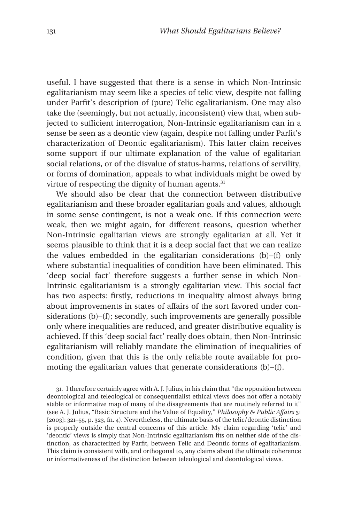useful. I have suggested that there is a sense in which Non-Intrinsic egalitarianism may seem like a species of telic view, despite not falling under Parfit's description of (pure) Telic egalitarianism. One may also take the (seemingly, but not actually, inconsistent) view that, when subjected to sufficient interrogation, Non-Intrinsic egalitarianism can in a sense be seen as a deontic view (again, despite not falling under Parfit's characterization of Deontic egalitarianism). This latter claim receives some support if our ultimate explanation of the value of egalitarian social relations, or of the disvalue of status-harms, relations of servility, or forms of domination, appeals to what individuals might be owed by virtue of respecting the dignity of human agents. $31$ 

We should also be clear that the connection between distributive egalitarianism and these broader egalitarian goals and values, although in some sense contingent, is not a weak one. If this connection were weak, then we might again, for different reasons, question whether Non-Intrinsic egalitarian views are strongly egalitarian at all. Yet it seems plausible to think that it is a deep social fact that we can realize the values embedded in the egalitarian considerations (b)–(f) only where substantial inequalities of condition have been eliminated. This 'deep social fact' therefore suggests a further sense in which Non-Intrinsic egalitarianism is a strongly egalitarian view. This social fact has two aspects: firstly, reductions in inequality almost always bring about improvements in states of affairs of the sort favored under considerations (b)–(f); secondly, such improvements are generally possible only where inequalities are reduced, and greater distributive equality is achieved. If this 'deep social fact' really does obtain, then Non-Intrinsic egalitarianism will reliably mandate the elimination of inequalities of condition, given that this is the only reliable route available for promoting the egalitarian values that generate considerations (b)–(f).

31. I therefore certainly agree with A. J. Julius, in his claim that "the opposition between deontological and teleological or consequentialist ethical views does not offer a notably stable or informative map of many of the disagreements that are routinely referred to it" (see A. J. Julius, "Basic Structure and the Value of Equality," *Philosophy & Public Affairs* 31 [2003]: 321–55, p. 323, fn. 4). Nevertheless, the ultimate basis of the telic/deontic distinction is properly outside the central concerns of this article. My claim regarding 'telic' and 'deontic' views is simply that Non-Intrinsic egalitarianism fits on neither side of the distinction, as characterized by Parfit, between Telic and Deontic forms of egalitarianism. This claim is consistent with, and orthogonal to, any claims about the ultimate coherence or informativeness of the distinction between teleological and deontological views.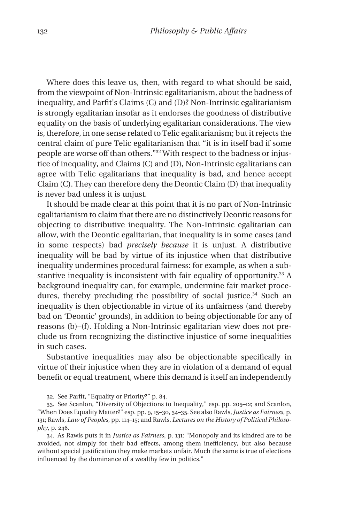Where does this leave us, then, with regard to what should be said, from the viewpoint of Non-Intrinsic egalitarianism, about the badness of inequality, and Parfit's Claims (C) and (D)? Non-Intrinsic egalitarianism is strongly egalitarian insofar as it endorses the goodness of distributive equality on the basis of underlying egalitarian considerations. The view is, therefore, in one sense related to Telic egalitarianism; but it rejects the central claim of pure Telic egalitarianism that "it is in itself bad if some people are worse off than others."32 With respect to the badness or injustice of inequality, and Claims (C) and (D), Non-Intrinsic egalitarians can agree with Telic egalitarians that inequality is bad, and hence accept Claim (C). They can therefore deny the Deontic Claim (D) that inequality is never bad unless it is unjust.

It should be made clear at this point that it is no part of Non-Intrinsic egalitarianism to claim that there are no distinctively Deontic reasons for objecting to distributive inequality. The Non-Intrinsic egalitarian can allow, with the Deontic egalitarian, that inequality is in some cases (and in some respects) bad *precisely because* it is unjust. A distributive inequality will be bad by virtue of its injustice when that distributive inequality undermines procedural fairness: for example, as when a substantive inequality is inconsistent with fair equality of opportunity.<sup>33</sup> A background inequality can, for example, undermine fair market procedures, thereby precluding the possibility of social justice.<sup>34</sup> Such an inequality is then objectionable in virtue of its unfairness (and thereby bad on 'Deontic' grounds), in addition to being objectionable for any of reasons (b)–(f). Holding a Non-Intrinsic egalitarian view does not preclude us from recognizing the distinctive injustice of some inequalities in such cases.

Substantive inequalities may also be objectionable specifically in virtue of their injustice when they are in violation of a demand of equal benefit or equal treatment, where this demand is itself an independently

32. See Parfit, "Equality or Priority?" p. 84.

33. See Scanlon, "Diversity of Objections to Inequality," esp. pp. 205–12; and Scanlon, "When Does Equality Matter?" esp. pp. 9, 15–30, 34–35. See also Rawls, *Justice as Fairness*, p. 131; Rawls, *Law of Peoples*, pp. 114–15; and Rawls, *Lectures on the History of Political Philosophy*, p. 246.

34. As Rawls puts it in *Justice as Fairness*, p. 131: "Monopoly and its kindred are to be avoided, not simply for their bad effects, among them inefficiency, but also because without special justification they make markets unfair. Much the same is true of elections influenced by the dominance of a wealthy few in politics."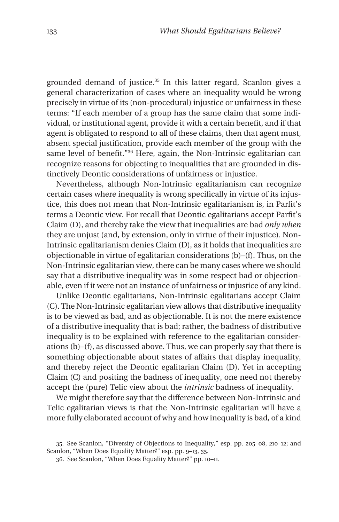grounded demand of justice.<sup>35</sup> In this latter regard, Scanlon gives a general characterization of cases where an inequality would be wrong precisely in virtue of its (non-procedural) injustice or unfairness in these terms: "If each member of a group has the same claim that some individual, or institutional agent, provide it with a certain benefit, and if that agent is obligated to respond to all of these claims, then that agent must, absent special justification, provide each member of the group with the same level of benefit."36 Here, again, the Non-Intrinsic egalitarian can recognize reasons for objecting to inequalities that are grounded in distinctively Deontic considerations of unfairness or injustice.

Nevertheless, although Non-Intrinsic egalitarianism can recognize certain cases where inequality is wrong specifically in virtue of its injustice, this does not mean that Non-Intrinsic egalitarianism is, in Parfit's terms a Deontic view. For recall that Deontic egalitarians accept Parfit's Claim (D), and thereby take the view that inequalities are bad *only when* they are unjust (and, by extension, only in virtue of their injustice). Non-Intrinsic egalitarianism denies Claim (D), as it holds that inequalities are objectionable in virtue of egalitarian considerations (b)–(f). Thus, on the Non-Intrinsic egalitarian view, there can be many cases where we should say that a distributive inequality was in some respect bad or objectionable, even if it were not an instance of unfairness or injustice of any kind.

Unlike Deontic egalitarians, Non-Intrinsic egalitarians accept Claim (C). The Non-Intrinsic egalitarian view allows that distributive inequality is to be viewed as bad, and as objectionable. It is not the mere existence of a distributive inequality that is bad; rather, the badness of distributive inequality is to be explained with reference to the egalitarian considerations (b)–(f), as discussed above. Thus, we can properly say that there is something objectionable about states of affairs that display inequality, and thereby reject the Deontic egalitarian Claim (D). Yet in accepting Claim (C) and positing the badness of inequality, one need not thereby accept the (pure) Telic view about the *intrinsic* badness of inequality.

We might therefore say that the difference between Non-Intrinsic and Telic egalitarian views is that the Non-Intrinsic egalitarian will have a more fully elaborated account of why and how inequality is bad, of a kind

<sup>35</sup>. See Scanlon, "Diversity of Objections to Inequality," esp. pp. 205–08, 210–12; and Scanlon, "When Does Equality Matter?" esp. pp. 9–13, 35.

<sup>36</sup>. See Scanlon, "When Does Equality Matter?" pp. 10–11.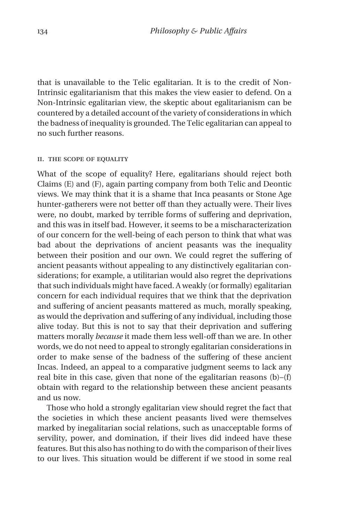that is unavailable to the Telic egalitarian. It is to the credit of Non-Intrinsic egalitarianism that this makes the view easier to defend. On a Non-Intrinsic egalitarian view, the skeptic about egalitarianism can be countered by a detailed account of the variety of considerations in which the badness of inequality is grounded. The Telic egalitarian can appeal to no such further reasons.

#### ii. the scope of equality

What of the scope of equality? Here, egalitarians should reject both Claims (E) and (F), again parting company from both Telic and Deontic views. We may think that it is a shame that Inca peasants or Stone Age hunter-gatherers were not better off than they actually were. Their lives were, no doubt, marked by terrible forms of suffering and deprivation, and this was in itself bad. However, it seems to be a mischaracterization of our concern for the well-being of each person to think that what was bad about the deprivations of ancient peasants was the inequality between their position and our own. We could regret the suffering of ancient peasants without appealing to any distinctively egalitarian considerations; for example, a utilitarian would also regret the deprivations that such individuals might have faced. A weakly (or formally) egalitarian concern for each individual requires that we think that the deprivation and suffering of ancient peasants mattered as much, morally speaking, as would the deprivation and suffering of any individual, including those alive today. But this is not to say that their deprivation and suffering matters morally *because* it made them less well-off than we are. In other words, we do not need to appeal to strongly egalitarian considerations in order to make sense of the badness of the suffering of these ancient Incas. Indeed, an appeal to a comparative judgment seems to lack any real bite in this case, given that none of the egalitarian reasons (b)–(f) obtain with regard to the relationship between these ancient peasants and us now.

Those who hold a strongly egalitarian view should regret the fact that the societies in which these ancient peasants lived were themselves marked by inegalitarian social relations, such as unacceptable forms of servility, power, and domination, if their lives did indeed have these features. But this also has nothing to do with the comparison of their lives to our lives. This situation would be different if we stood in some real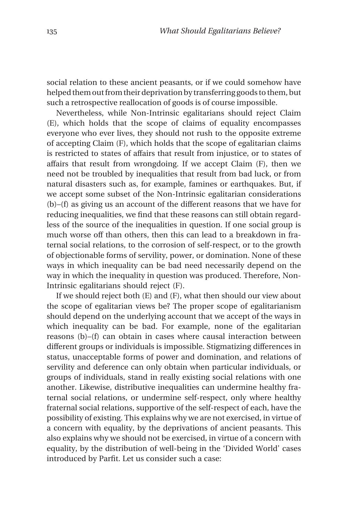social relation to these ancient peasants, or if we could somehow have helped them out from their deprivation by transferring goods to them, but such a retrospective reallocation of goods is of course impossible.

Nevertheless, while Non-Intrinsic egalitarians should reject Claim (E), which holds that the scope of claims of equality encompasses everyone who ever lives, they should not rush to the opposite extreme of accepting Claim (F), which holds that the scope of egalitarian claims is restricted to states of affairs that result from injustice, or to states of affairs that result from wrongdoing. If we accept Claim (F), then we need not be troubled by inequalities that result from bad luck, or from natural disasters such as, for example, famines or earthquakes. But, if we accept some subset of the Non-Intrinsic egalitarian considerations (b)–(f) as giving us an account of the different reasons that we have for reducing inequalities, we find that these reasons can still obtain regardless of the source of the inequalities in question. If one social group is much worse off than others, then this can lead to a breakdown in fraternal social relations, to the corrosion of self-respect, or to the growth of objectionable forms of servility, power, or domination. None of these ways in which inequality can be bad need necessarily depend on the way in which the inequality in question was produced. Therefore, Non-Intrinsic egalitarians should reject (F).

If we should reject both (E) and (F), what then should our view about the scope of egalitarian views be? The proper scope of egalitarianism should depend on the underlying account that we accept of the ways in which inequality can be bad. For example, none of the egalitarian reasons (b)–(f) can obtain in cases where causal interaction between different groups or individuals is impossible. Stigmatizing differences in status, unacceptable forms of power and domination, and relations of servility and deference can only obtain when particular individuals, or groups of individuals, stand in really existing social relations with one another. Likewise, distributive inequalities can undermine healthy fraternal social relations, or undermine self-respect, only where healthy fraternal social relations, supportive of the self-respect of each, have the possibility of existing. This explains why we are not exercised, in virtue of a concern with equality, by the deprivations of ancient peasants. This also explains why we should not be exercised, in virtue of a concern with equality, by the distribution of well-being in the 'Divided World' cases introduced by Parfit. Let us consider such a case: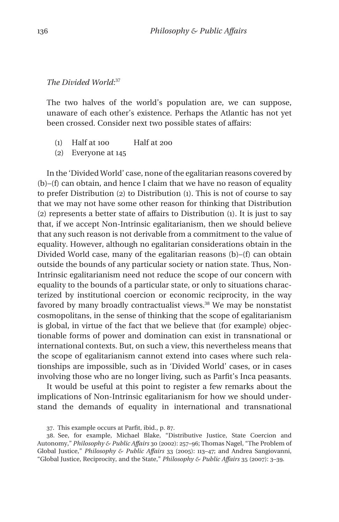## *The Divided World*: 37

The two halves of the world's population are, we can suppose, unaware of each other's existence. Perhaps the Atlantic has not yet been crossed. Consider next two possible states of affairs:

- (1) Half at 100 Half at 200
- (2) Everyone at 145

In the 'Divided World' case, none of the egalitarian reasons covered by (b)–(f) can obtain, and hence I claim that we have no reason of equality to prefer Distribution (2) to Distribution (1). This is not of course to say that we may not have some other reason for thinking that Distribution (2) represents a better state of affairs to Distribution (1). It is just to say that, if we accept Non-Intrinsic egalitarianism, then we should believe that any such reason is not derivable from a commitment to the value of equality. However, although no egalitarian considerations obtain in the Divided World case, many of the egalitarian reasons (b)–(f) can obtain outside the bounds of any particular society or nation state. Thus, Non-Intrinsic egalitarianism need not reduce the scope of our concern with equality to the bounds of a particular state, or only to situations characterized by institutional coercion or economic reciprocity, in the way favored by many broadly contractualist views.<sup>38</sup> We may be nonstatist cosmopolitans, in the sense of thinking that the scope of egalitarianism is global, in virtue of the fact that we believe that (for example) objectionable forms of power and domination can exist in transnational or international contexts. But, on such a view, this nevertheless means that the scope of egalitarianism cannot extend into cases where such relationships are impossible, such as in 'Divided World' cases, or in cases involving those who are no longer living, such as Parfit's Inca peasants.

It would be useful at this point to register a few remarks about the implications of Non-Intrinsic egalitarianism for how we should understand the demands of equality in international and transnational

<sup>37</sup>. This example occurs at Parfit, ibid., p. 87.

<sup>38</sup>. See, for example, Michael Blake, "Distributive Justice, State Coercion and Autonomy," *Philosophy & Public Affairs* 30 (2002): 257–96; Thomas Nagel, "The Problem of Global Justice," *Philosophy & Public Affairs* 33 (2005): 113–47; and Andrea Sangiovanni, "Global Justice, Reciprocity, and the State," *Philosophy & Public Affairs* 35 (2007): 3–39.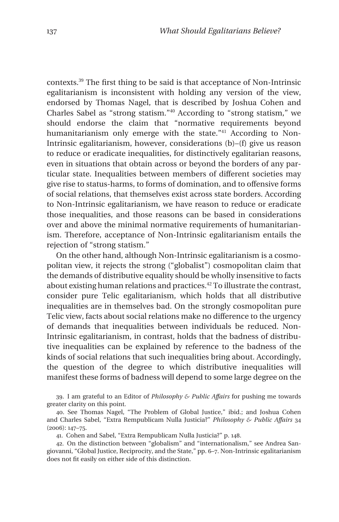contexts.39 The first thing to be said is that acceptance of Non-Intrinsic egalitarianism is inconsistent with holding any version of the view, endorsed by Thomas Nagel, that is described by Joshua Cohen and Charles Sabel as "strong statism."40 According to "strong statism," we should endorse the claim that "normative requirements beyond humanitarianism only emerge with the state."<sup>41</sup> According to Non-Intrinsic egalitarianism, however, considerations (b)–(f) give us reason to reduce or eradicate inequalities, for distinctively egalitarian reasons, even in situations that obtain across or beyond the borders of any particular state. Inequalities between members of different societies may give rise to status-harms, to forms of domination, and to offensive forms of social relations, that themselves exist across state borders. According to Non-Intrinsic egalitarianism, we have reason to reduce or eradicate those inequalities, and those reasons can be based in considerations over and above the minimal normative requirements of humanitarianism. Therefore, acceptance of Non-Intrinsic egalitarianism entails the rejection of "strong statism."

On the other hand, although Non-Intrinsic egalitarianism is a cosmopolitan view, it rejects the strong ("globalist") cosmopolitan claim that the demands of distributive equality should be wholly insensitive to facts about existing human relations and practices.42 To illustrate the contrast, consider pure Telic egalitarianism, which holds that all distributive inequalities are in themselves bad. On the strongly cosmopolitan pure Telic view, facts about social relations make no difference to the urgency of demands that inequalities between individuals be reduced. Non-Intrinsic egalitarianism, in contrast, holds that the badness of distributive inequalities can be explained by reference to the badness of the kinds of social relations that such inequalities bring about. Accordingly, the question of the degree to which distributive inequalities will manifest these forms of badness will depend to some large degree on the

39. I am grateful to an Editor of *Philosophy & Public Affairs* for pushing me towards greater clarity on this point.

40. See Thomas Nagel, "The Problem of Global Justice," ibid.; and Joshua Cohen and Charles Sabel, "Extra Rempublicam Nulla Justicia?" *Philosophy & Public Affairs* 34 (2006): 147–75.

41. Cohen and Sabel, "Extra Rempublicam Nulla Justicia?" p. 148.

42. On the distinction between "globalism" and "internationalism," see Andrea Sangiovanni, "Global Justice, Reciprocity, and the State," pp. 6–7. Non-Intrinsic egalitarianism does not fit easily on either side of this distinction.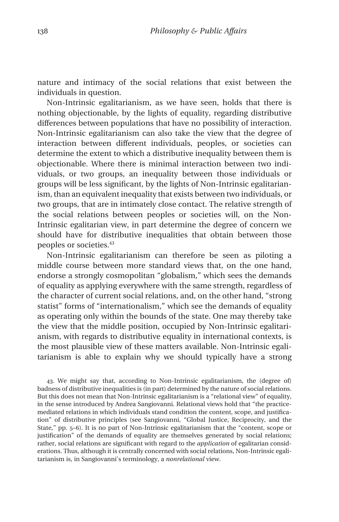nature and intimacy of the social relations that exist between the individuals in question.

Non-Intrinsic egalitarianism, as we have seen, holds that there is nothing objectionable, by the lights of equality, regarding distributive differences between populations that have no possibility of interaction. Non-Intrinsic egalitarianism can also take the view that the degree of interaction between different individuals, peoples, or societies can determine the extent to which a distributive inequality between them is objectionable. Where there is minimal interaction between two individuals, or two groups, an inequality between those individuals or groups will be less significant, by the lights of Non-Intrinsic egalitarianism, than an equivalent inequality that exists between two individuals, or two groups, that are in intimately close contact. The relative strength of the social relations between peoples or societies will, on the Non-Intrinsic egalitarian view, in part determine the degree of concern we should have for distributive inequalities that obtain between those peoples or societies.43

Non-Intrinsic egalitarianism can therefore be seen as piloting a middle course between more standard views that, on the one hand, endorse a strongly cosmopolitan "globalism," which sees the demands of equality as applying everywhere with the same strength, regardless of the character of current social relations, and, on the other hand, "strong statist" forms of "internationalism," which see the demands of equality as operating only within the bounds of the state. One may thereby take the view that the middle position, occupied by Non-Intrinsic egalitarianism, with regards to distributive equality in international contexts, is the most plausible view of these matters available. Non-Intrinsic egalitarianism is able to explain why we should typically have a strong

43. We might say that, according to Non-Intrinsic egalitarianism, the (degree of) badness of distributive inequalities is (in part) determined by the nature of social relations. But this does not mean that Non-Intrinsic egalitarianism is a "relational view" of equality, in the sense introduced by Andrea Sangiovanni. Relational views hold that "the practicemediated relations in which individuals stand condition the content, scope, and justification" of distributive principles (see Sangiovanni, "Global Justice, Reciprocity, and the State," pp. 5–6). It is no part of Non-Intrinsic egalitarianism that the "content, scope or justification" of the demands of equality are themselves generated by social relations; rather, social relations are significant with regard to the *application* of egalitarian considerations. Thus, although it is centrally concerned with social relations, Non-Intrinsic egalitarianism is, in Sangiovanni's terminology, a *nonrelational* view.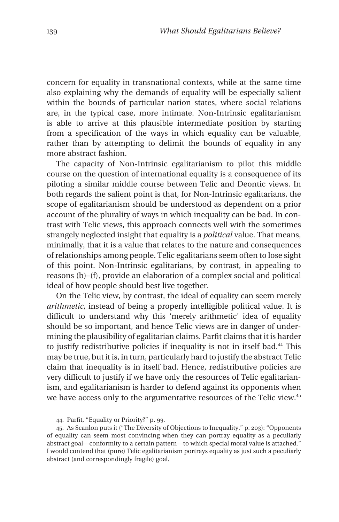concern for equality in transnational contexts, while at the same time also explaining why the demands of equality will be especially salient within the bounds of particular nation states, where social relations are, in the typical case, more intimate. Non-Intrinsic egalitarianism is able to arrive at this plausible intermediate position by starting from a specification of the ways in which equality can be valuable, rather than by attempting to delimit the bounds of equality in any more abstract fashion.

The capacity of Non-Intrinsic egalitarianism to pilot this middle course on the question of international equality is a consequence of its piloting a similar middle course between Telic and Deontic views. In both regards the salient point is that, for Non-Intrinsic egalitarians, the scope of egalitarianism should be understood as dependent on a prior account of the plurality of ways in which inequality can be bad. In contrast with Telic views, this approach connects well with the sometimes strangely neglected insight that equality is a *political* value. That means, minimally, that it is a value that relates to the nature and consequences of relationships among people. Telic egalitarians seem often to lose sight of this point. Non-Intrinsic egalitarians, by contrast, in appealing to reasons (b)–(f), provide an elaboration of a complex social and political ideal of how people should best live together.

On the Telic view, by contrast, the ideal of equality can seem merely *arithmetic*, instead of being a properly intelligible political value. It is difficult to understand why this 'merely arithmetic' idea of equality should be so important, and hence Telic views are in danger of undermining the plausibility of egalitarian claims. Parfit claims that it is harder to justify redistributive policies if inequality is not in itself bad.<sup>44</sup> This may be true, but it is, in turn, particularly hard to justify the abstract Telic claim that inequality is in itself bad. Hence, redistributive policies are very difficult to justify if we have only the resources of Telic egalitarianism, and egalitarianism is harder to defend against its opponents when we have access only to the argumentative resources of the Telic view.<sup>45</sup>

45. As Scanlon puts it ("The Diversity of Objections to Inequality," p. 203): "Opponents of equality can seem most convincing when they can portray equality as a peculiarly abstract goal—conformity to a certain pattern—to which special moral value is attached." I would contend that (pure) Telic egalitarianism portrays equality as just such a peculiarly abstract (and correspondingly fragile) goal.

<sup>44</sup>. Parfit, "Equality or Priority?" p. 99.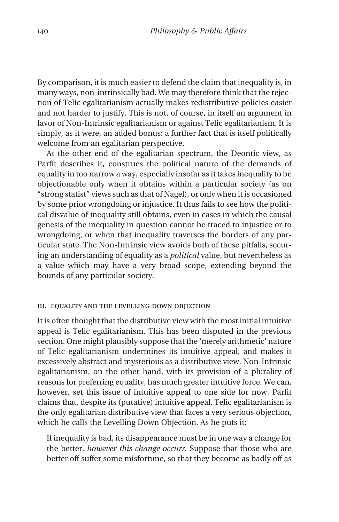By comparison, it is much easier to defend the claim that inequality is, in many ways, non-intrinsically bad. We may therefore think that the rejection of Telic egalitarianism actually makes redistributive policies easier and not harder to justify. This is not, of course, in itself an argument in favor of Non-Intrinsic egalitarianism or against Telic egalitarianism. It is simply, as it were, an added bonus: a further fact that is itself politically welcome from an egalitarian perspective.

At the other end of the egalitarian spectrum, the Deontic view, as Parfit describes it, construes the political nature of the demands of equality in too narrow a way, especially insofar as it takes inequality to be objectionable only when it obtains within a particular society (as on "strong statist" views such as that of Nagel), or only when it is occasioned by some prior wrongdoing or injustice. It thus fails to see how the political disvalue of inequality still obtains, even in cases in which the causal genesis of the inequality in question cannot be traced to injustice or to wrongdoing, or when that inequality traverses the borders of any particular state. The Non-Intrinsic view avoids both of these pitfalls, securing an understanding of equality as a *political* value, but nevertheless as a value which may have a very broad scope, extending beyond the bounds of any particular society.

#### iii. equality and the levelling down objection

It is often thought that the distributive view with the most initial intuitive appeal is Telic egalitarianism. This has been disputed in the previous section. One might plausibly suppose that the 'merely arithmetic' nature of Telic egalitarianism undermines its intuitive appeal, and makes it excessively abstract and mysterious as a distributive view. Non-Intrinsic egalitarianism, on the other hand, with its provision of a plurality of reasons for preferring equality, has much greater intuitive force. We can, however, set this issue of intuitive appeal to one side for now. Parfit claims that, despite its (putative) intuitive appeal, Telic egalitarianism is the only egalitarian distributive view that faces a very serious objection, which he calls the Levelling Down Objection. As he puts it:

If inequality is bad, its disappearance must be in one way a change for the better, *however this change occurs*. Suppose that those who are better off suffer some misfortune, so that they become as badly off as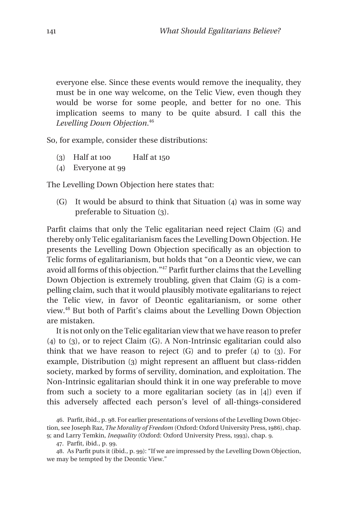everyone else. Since these events would remove the inequality, they must be in one way welcome, on the Telic View, even though they would be worse for some people, and better for no one. This implication seems to many to be quite absurd. I call this the *Levelling Down Objection*. 46

So, for example, consider these distributions:

- (3) Half at 100 Half at 150
- (4) Everyone at 99

The Levelling Down Objection here states that:

(G) It would be absurd to think that Situation (4) was in some way preferable to Situation (3).

Parfit claims that only the Telic egalitarian need reject Claim (G) and thereby only Telic egalitarianism faces the Levelling Down Objection. He presents the Levelling Down Objection specifically as an objection to Telic forms of egalitarianism, but holds that "on a Deontic view, we can avoid all forms of this objection."47 Parfit further claims that the Levelling Down Objection is extremely troubling, given that Claim (G) is a compelling claim, such that it would plausibly motivate egalitarians to reject the Telic view, in favor of Deontic egalitarianism, or some other view.48 But both of Parfit's claims about the Levelling Down Objection are mistaken.

It is not only on the Telic egalitarian view that we have reason to prefer (4) to (3), or to reject Claim (G). A Non-Intrinsic egalitarian could also think that we have reason to reject  $(G)$  and to prefer  $(4)$  to  $(3)$ . For example, Distribution (3) might represent an affluent but class-ridden society, marked by forms of servility, domination, and exploitation. The Non-Intrinsic egalitarian should think it in one way preferable to move from such a society to a more egalitarian society (as in [4]) even if this adversely affected each person's level of all-things-considered

<sup>46</sup>. Parfit, ibid., p. 98. For earlier presentations of versions of the Levelling Down Objection, see Joseph Raz, *The Morality of Freedom* (Oxford: Oxford University Press, 1986), chap. 9; and Larry Temkin, *Inequality* (Oxford: Oxford University Press, 1993), chap. 9.

<sup>47</sup>. Parfit, ibid., p. 99.

<sup>48</sup>. As Parfit puts it (ibid., p. 99): "If we are impressed by the Levelling Down Objection, we may be tempted by the Deontic View."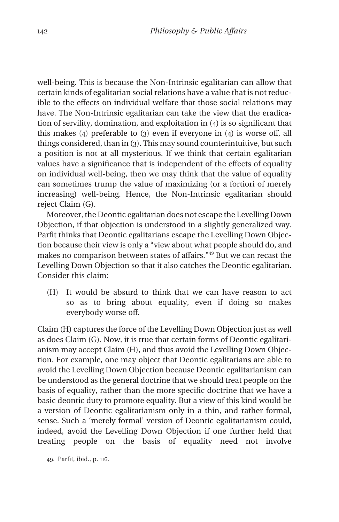well-being. This is because the Non-Intrinsic egalitarian can allow that certain kinds of egalitarian social relations have a value that is not reducible to the effects on individual welfare that those social relations may have. The Non-Intrinsic egalitarian can take the view that the eradication of servility, domination, and exploitation in (4) is so significant that this makes (4) preferable to (3) even if everyone in (4) is worse off, all things considered, than in (3). This may sound counterintuitive, but such a position is not at all mysterious. If we think that certain egalitarian values have a significance that is independent of the effects of equality on individual well-being, then we may think that the value of equality can sometimes trump the value of maximizing (or a fortiori of merely increasing) well-being. Hence, the Non-Intrinsic egalitarian should reject Claim (G).

Moreover, the Deontic egalitarian does not escape the Levelling Down Objection, if that objection is understood in a slightly generalized way. Parfit thinks that Deontic egalitarians escape the Levelling Down Objection because their view is only a "view about what people should do, and makes no comparison between states of affairs."49 But we can recast the Levelling Down Objection so that it also catches the Deontic egalitarian. Consider this claim:

(H) It would be absurd to think that we can have reason to act so as to bring about equality, even if doing so makes everybody worse off.

Claim (H) captures the force of the Levelling Down Objection just as well as does Claim (G). Now, it is true that certain forms of Deontic egalitarianism may accept Claim (H), and thus avoid the Levelling Down Objection. For example, one may object that Deontic egalitarians are able to avoid the Levelling Down Objection because Deontic egalitarianism can be understood as the general doctrine that we should treat people on the basis of equality, rather than the more specific doctrine that we have a basic deontic duty to promote equality. But a view of this kind would be a version of Deontic egalitarianism only in a thin, and rather formal, sense. Such a 'merely formal' version of Deontic egalitarianism could, indeed, avoid the Levelling Down Objection if one further held that treating people on the basis of equality need not involve

49. Parfit, ibid., p. 116.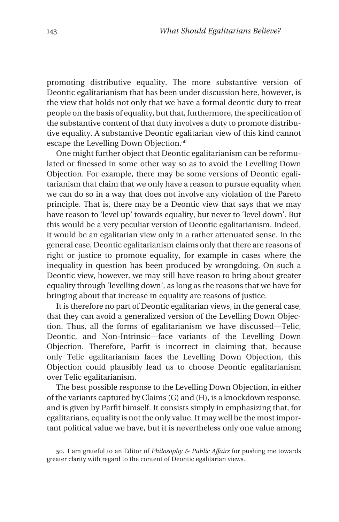promoting distributive equality. The more substantive version of Deontic egalitarianism that has been under discussion here, however, is the view that holds not only that we have a formal deontic duty to treat people on the basis of equality, but that, furthermore, the specification of the substantive content of that duty involves a duty to promote distributive equality. A substantive Deontic egalitarian view of this kind cannot escape the Levelling Down Objection.<sup>50</sup>

One might further object that Deontic egalitarianism can be reformulated or finessed in some other way so as to avoid the Levelling Down Objection. For example, there may be some versions of Deontic egalitarianism that claim that we only have a reason to pursue equality when we can do so in a way that does not involve any violation of the Pareto principle. That is, there may be a Deontic view that says that we may have reason to 'level up' towards equality, but never to 'level down'. But this would be a very peculiar version of Deontic egalitarianism. Indeed, it would be an egalitarian view only in a rather attenuated sense. In the general case, Deontic egalitarianism claims only that there are reasons of right or justice to promote equality, for example in cases where the inequality in question has been produced by wrongdoing. On such a Deontic view, however, we may still have reason to bring about greater equality through 'levelling down', as long as the reasons that we have for bringing about that increase in equality are reasons of justice.

It is therefore no part of Deontic egalitarian views, in the general case, that they can avoid a generalized version of the Levelling Down Objection. Thus, all the forms of egalitarianism we have discussed—Telic, Deontic, and Non-Intrinsic—face variants of the Levelling Down Objection. Therefore, Parfit is incorrect in claiming that, because only Telic egalitarianism faces the Levelling Down Objection, this Objection could plausibly lead us to choose Deontic egalitarianism over Telic egalitarianism.

The best possible response to the Levelling Down Objection, in either of the variants captured by Claims (G) and (H), is a knockdown response, and is given by Parfit himself. It consists simply in emphasizing that, for egalitarians, equality is not the only value. It may well be the most important political value we have, but it is nevertheless only one value among

<sup>50</sup>. I am grateful to an Editor of *Philosophy & Public Affairs* for pushing me towards greater clarity with regard to the content of Deontic egalitarian views.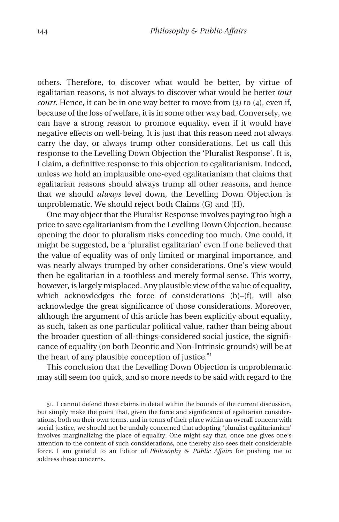others. Therefore, to discover what would be better, by virtue of egalitarian reasons, is not always to discover what would be better *tout court*. Hence, it can be in one way better to move from (3) to (4), even if, because of the loss of welfare, it is in some other way bad. Conversely, we can have a strong reason to promote equality, even if it would have negative effects on well-being. It is just that this reason need not always carry the day, or always trump other considerations. Let us call this response to the Levelling Down Objection the 'Pluralist Response'. It is, I claim, a definitive response to this objection to egalitarianism. Indeed, unless we hold an implausible one-eyed egalitarianism that claims that egalitarian reasons should always trump all other reasons, and hence that we should *always* level down, the Levelling Down Objection is unproblematic. We should reject both Claims (G) and (H).

One may object that the Pluralist Response involves paying too high a price to save egalitarianism from the Levelling Down Objection, because opening the door to pluralism risks conceding too much. One could, it might be suggested, be a 'pluralist egalitarian' even if one believed that the value of equality was of only limited or marginal importance, and was nearly always trumped by other considerations. One's view would then be egalitarian in a toothless and merely formal sense. This worry, however, is largely misplaced. Any plausible view of the value of equality, which acknowledges the force of considerations (b)–(f), will also acknowledge the great significance of those considerations. Moreover, although the argument of this article has been explicitly about equality, as such, taken as one particular political value, rather than being about the broader question of all-things-considered social justice, the significance of equality (on both Deontic and Non-Intrinsic grounds) will be at the heart of any plausible conception of justice.<sup>51</sup>

This conclusion that the Levelling Down Objection is unproblematic may still seem too quick, and so more needs to be said with regard to the

51. I cannot defend these claims in detail within the bounds of the current discussion, but simply make the point that, given the force and significance of egalitarian considerations, both on their own terms, and in terms of their place within an overall concern with social justice, we should not be unduly concerned that adopting 'pluralist egalitarianism' involves marginalizing the place of equality. One might say that, once one gives one's attention to the content of such considerations, one thereby also sees their considerable force. I am grateful to an Editor of *Philosophy & Public Affairs* for pushing me to address these concerns.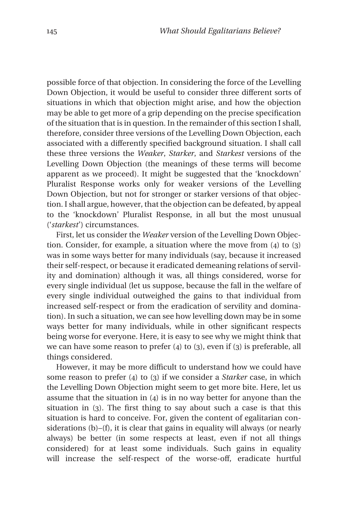possible force of that objection. In considering the force of the Levelling Down Objection, it would be useful to consider three different sorts of situations in which that objection might arise, and how the objection may be able to get more of a grip depending on the precise specification of the situation that is in question. In the remainder of this section I shall, therefore, consider three versions of the Levelling Down Objection, each associated with a differently specified background situation. I shall call these three versions the *Weaker*, *Starker*, and *Starkest* versions of the Levelling Down Objection (the meanings of these terms will become apparent as we proceed). It might be suggested that the 'knockdown' Pluralist Response works only for weaker versions of the Levelling Down Objection, but not for stronger or starker versions of that objection. I shall argue, however, that the objection can be defeated, by appeal to the 'knockdown' Pluralist Response, in all but the most unusual ('*starkest*') circumstances.

First, let us consider the *Weaker* version of the Levelling Down Objection. Consider, for example, a situation where the move from (4) to (3) was in some ways better for many individuals (say, because it increased their self-respect, or because it eradicated demeaning relations of servility and domination) although it was, all things considered, worse for every single individual (let us suppose, because the fall in the welfare of every single individual outweighed the gains to that individual from increased self-respect or from the eradication of servility and domination). In such a situation, we can see how levelling down may be in some ways better for many individuals, while in other significant respects being worse for everyone. Here, it is easy to see why we might think that we can have some reason to prefer (4) to (3), even if (3) is preferable, all things considered.

However, it may be more difficult to understand how we could have some reason to prefer (4) to (3) if we consider a *Starker* case, in which the Levelling Down Objection might seem to get more bite. Here, let us assume that the situation in (4) is in no way better for anyone than the situation in (3). The first thing to say about such a case is that this situation is hard to conceive. For, given the content of egalitarian considerations (b)–(f), it is clear that gains in equality will always (or nearly always) be better (in some respects at least, even if not all things considered) for at least some individuals. Such gains in equality will increase the self-respect of the worse-off, eradicate hurtful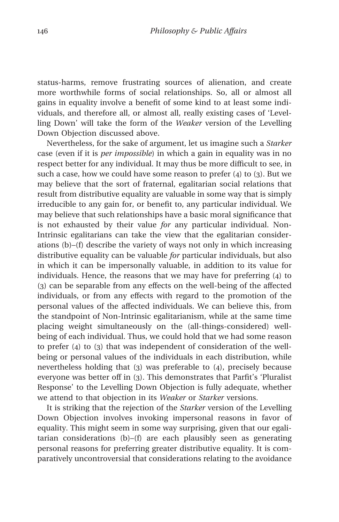status-harms, remove frustrating sources of alienation, and create more worthwhile forms of social relationships. So, all or almost all gains in equality involve a benefit of some kind to at least some individuals, and therefore all, or almost all, really existing cases of 'Levelling Down' will take the form of the *Weaker* version of the Levelling Down Objection discussed above.

Nevertheless, for the sake of argument, let us imagine such a *Starker* case (even if it is *per impossible*) in which a gain in equality was in no respect better for any individual. It may thus be more difficult to see, in such a case, how we could have some reason to prefer  $(4)$  to  $(3)$ . But we may believe that the sort of fraternal, egalitarian social relations that result from distributive equality are valuable in some way that is simply irreducible to any gain for, or benefit to, any particular individual. We may believe that such relationships have a basic moral significance that is not exhausted by their value *for* any particular individual. Non-Intrinsic egalitarians can take the view that the egalitarian considerations (b)–(f) describe the variety of ways not only in which increasing distributive equality can be valuable *for* particular individuals, but also in which it can be impersonally valuable, in addition to its value for individuals. Hence, the reasons that we may have for preferring (4) to (3) can be separable from any effects on the well-being of the affected individuals, or from any effects with regard to the promotion of the personal values of the affected individuals. We can believe this, from the standpoint of Non-Intrinsic egalitarianism, while at the same time placing weight simultaneously on the (all-things-considered) wellbeing of each individual. Thus, we could hold that we had some reason to prefer (4) to (3) that was independent of consideration of the wellbeing or personal values of the individuals in each distribution, while nevertheless holding that (3) was preferable to (4), precisely because everyone was better off in (3). This demonstrates that Parfit's 'Pluralist Response' to the Levelling Down Objection is fully adequate, whether we attend to that objection in its *Weaker* or *Starker* versions.

It is striking that the rejection of the *Starker* version of the Levelling Down Objection involves invoking impersonal reasons in favor of equality. This might seem in some way surprising, given that our egalitarian considerations (b)–(f) are each plausibly seen as generating personal reasons for preferring greater distributive equality. It is comparatively uncontroversial that considerations relating to the avoidance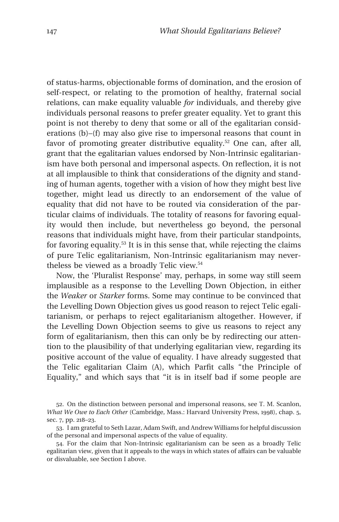of status-harms, objectionable forms of domination, and the erosion of self-respect, or relating to the promotion of healthy, fraternal social relations, can make equality valuable *for* individuals, and thereby give individuals personal reasons to prefer greater equality. Yet to grant this point is not thereby to deny that some or all of the egalitarian considerations (b)–(f) may also give rise to impersonal reasons that count in favor of promoting greater distributive equality.52 One can, after all, grant that the egalitarian values endorsed by Non-Intrinsic egalitarianism have both personal and impersonal aspects. On reflection, it is not at all implausible to think that considerations of the dignity and standing of human agents, together with a vision of how they might best live together, might lead us directly to an endorsement of the value of equality that did not have to be routed via consideration of the particular claims of individuals. The totality of reasons for favoring equality would then include, but nevertheless go beyond, the personal reasons that individuals might have, from their particular standpoints, for favoring equality.53 It is in this sense that, while rejecting the claims of pure Telic egalitarianism, Non-Intrinsic egalitarianism may nevertheless be viewed as a broadly Telic view.<sup>54</sup>

Now, the 'Pluralist Response' may, perhaps, in some way still seem implausible as a response to the Levelling Down Objection, in either the *Weaker* or *Starker* forms. Some may continue to be convinced that the Levelling Down Objection gives us good reason to reject Telic egalitarianism, or perhaps to reject egalitarianism altogether. However, if the Levelling Down Objection seems to give us reasons to reject any form of egalitarianism, then this can only be by redirecting our attention to the plausibility of that underlying egalitarian view, regarding its positive account of the value of equality. I have already suggested that the Telic egalitarian Claim (A), which Parfit calls "the Principle of Equality," and which says that "it is in itself bad if some people are

<sup>52</sup>. On the distinction between personal and impersonal reasons, see T. M. Scanlon, *What We Owe to Each Other* (Cambridge, Mass.: Harvard University Press, 1998), chap. 5, sec. 7, pp. 218–23.

<sup>53</sup>. I am grateful to Seth Lazar, Adam Swift, and Andrew Williams for helpful discussion of the personal and impersonal aspects of the value of equality.

<sup>54</sup>. For the claim that Non-Intrinsic egalitarianism can be seen as a broadly Telic egalitarian view, given that it appeals to the ways in which states of affairs can be valuable or disvaluable, see Section I above.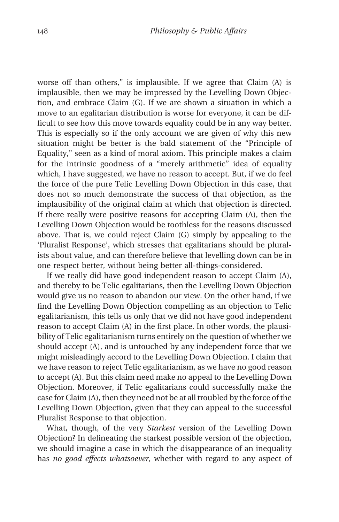worse off than others," is implausible. If we agree that Claim (A) is implausible, then we may be impressed by the Levelling Down Objection, and embrace Claim (G). If we are shown a situation in which a move to an egalitarian distribution is worse for everyone, it can be difficult to see how this move towards equality could be in any way better. This is especially so if the only account we are given of why this new situation might be better is the bald statement of the "Principle of Equality," seen as a kind of moral axiom. This principle makes a claim for the intrinsic goodness of a "merely arithmetic" idea of equality which, I have suggested, we have no reason to accept. But, if we do feel the force of the pure Telic Levelling Down Objection in this case, that does not so much demonstrate the success of that objection, as the implausibility of the original claim at which that objection is directed. If there really were positive reasons for accepting Claim (A), then the Levelling Down Objection would be toothless for the reasons discussed above. That is, we could reject Claim (G) simply by appealing to the 'Pluralist Response', which stresses that egalitarians should be pluralists about value, and can therefore believe that levelling down can be in one respect better, without being better all-things-considered.

If we really did have good independent reason to accept Claim (A), and thereby to be Telic egalitarians, then the Levelling Down Objection would give us no reason to abandon our view. On the other hand, if we find the Levelling Down Objection compelling as an objection to Telic egalitarianism, this tells us only that we did not have good independent reason to accept Claim (A) in the first place. In other words, the plausibility of Telic egalitarianism turns entirely on the question of whether we should accept (A), and is untouched by any independent force that we might misleadingly accord to the Levelling Down Objection. I claim that we have reason to reject Telic egalitarianism, as we have no good reason to accept (A). But this claim need make no appeal to the Levelling Down Objection. Moreover, if Telic egalitarians could successfully make the case for Claim (A), then they need not be at all troubled by the force of the Levelling Down Objection, given that they can appeal to the successful Pluralist Response to that objection.

What, though, of the very *Starkest* version of the Levelling Down Objection? In delineating the starkest possible version of the objection, we should imagine a case in which the disappearance of an inequality has *no good effects whatsoever*, whether with regard to any aspect of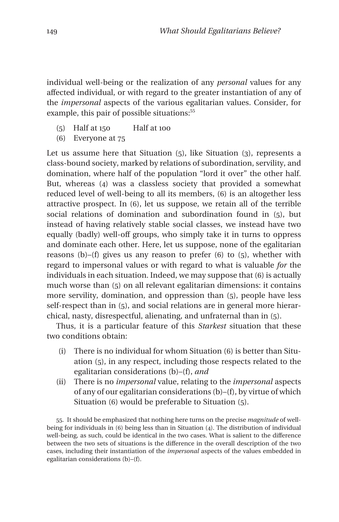individual well-being or the realization of any *personal* values for any affected individual, or with regard to the greater instantiation of any of the *impersonal* aspects of the various egalitarian values. Consider, for example, this pair of possible situations:<sup>55</sup>

- (5) Half at 150 Half at 100
- (6) Everyone at 75

Let us assume here that Situation (5), like Situation (3), represents a class-bound society, marked by relations of subordination, servility, and domination, where half of the population "lord it over" the other half. But, whereas (4) was a classless society that provided a somewhat reduced level of well-being to all its members, (6) is an altogether less attractive prospect. In (6), let us suppose, we retain all of the terrible social relations of domination and subordination found in (5), but instead of having relatively stable social classes, we instead have two equally (badly) well-off groups, who simply take it in turns to oppress and dominate each other. Here, let us suppose, none of the egalitarian reasons  $(b)$ – $(f)$  gives us any reason to prefer  $(6)$  to  $(5)$ , whether with regard to impersonal values or with regard to what is valuable *for* the individuals in each situation. Indeed, we may suppose that (6) is actually much worse than (5) on all relevant egalitarian dimensions: it contains more servility, domination, and oppression than (5), people have less self-respect than in (5), and social relations are in general more hierarchical, nasty, disrespectful, alienating, and unfraternal than in (5).

Thus, it is a particular feature of this *Starkest* situation that these two conditions obtain:

- (i) There is no individual for whom Situation (6) is better than Situation (5), in any respect, including those respects related to the egalitarian considerations (b)–(f), *and*
- (ii) There is no *impersonal* value, relating to the *impersonal* aspects of any of our egalitarian considerations (b)–(f), by virtue of which Situation (6) would be preferable to Situation (5).

55. It should be emphasized that nothing here turns on the precise *magnitude* of wellbeing for individuals in (6) being less than in Situation (4). The distribution of individual well-being, as such, could be identical in the two cases. What is salient to the difference between the two sets of situations is the difference in the overall description of the two cases, including their instantiation of the *impersonal* aspects of the values embedded in egalitarian considerations (b)–(f).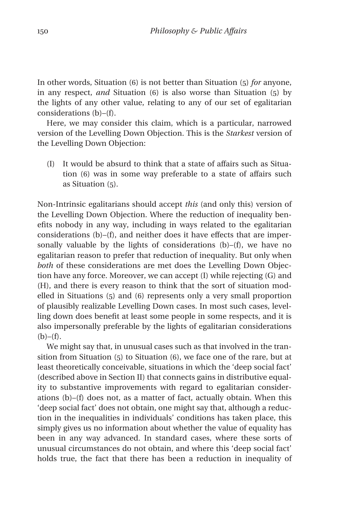In other words, Situation (6) is not better than Situation (5) *for* anyone, in any respect, *and* Situation (6) is also worse than Situation (5) by the lights of any other value, relating to any of our set of egalitarian considerations (b)–(f).

Here, we may consider this claim, which is a particular, narrowed version of the Levelling Down Objection. This is the *Starkest* version of the Levelling Down Objection:

(I) It would be absurd to think that a state of affairs such as Situation (6) was in some way preferable to a state of affairs such as Situation (5).

Non-Intrinsic egalitarians should accept *this* (and only this) version of the Levelling Down Objection. Where the reduction of inequality benefits nobody in any way, including in ways related to the egalitarian considerations (b)–(f), and neither does it have effects that are impersonally valuable by the lights of considerations (b)–(f), we have no egalitarian reason to prefer that reduction of inequality. But only when *both* of these considerations are met does the Levelling Down Objection have any force. Moreover, we can accept (I) while rejecting (G) and (H), and there is every reason to think that the sort of situation modelled in Situations (5) and (6) represents only a very small proportion of plausibly realizable Levelling Down cases. In most such cases, levelling down does benefit at least some people in some respects, and it is also impersonally preferable by the lights of egalitarian considerations  $(b)$ – $(f)$ .

We might say that, in unusual cases such as that involved in the transition from Situation (5) to Situation (6), we face one of the rare, but at least theoretically conceivable, situations in which the 'deep social fact' (described above in Section II) that connects gains in distributive equality to substantive improvements with regard to egalitarian considerations (b)–(f) does not, as a matter of fact, actually obtain. When this 'deep social fact' does not obtain, one might say that, although a reduction in the inequalities in individuals' conditions has taken place, this simply gives us no information about whether the value of equality has been in any way advanced. In standard cases, where these sorts of unusual circumstances do not obtain, and where this 'deep social fact' holds true, the fact that there has been a reduction in inequality of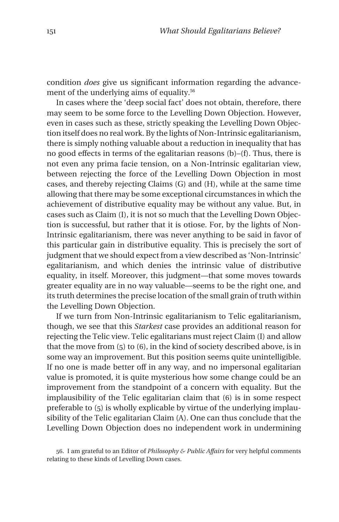condition *does* give us significant information regarding the advancement of the underlying aims of equality.<sup>56</sup>

In cases where the 'deep social fact' does not obtain, therefore, there may seem to be some force to the Levelling Down Objection. However, even in cases such as these, strictly speaking the Levelling Down Objection itself does no real work. By the lights of Non-Intrinsic egalitarianism, there is simply nothing valuable about a reduction in inequality that has no good effects in terms of the egalitarian reasons (b)–(f). Thus, there is not even any prima facie tension, on a Non-Intrinsic egalitarian view, between rejecting the force of the Levelling Down Objection in most cases, and thereby rejecting Claims (G) and (H), while at the same time allowing that there may be some exceptional circumstances in which the achievement of distributive equality may be without any value. But, in cases such as Claim (I), it is not so much that the Levelling Down Objection is successful, but rather that it is otiose. For, by the lights of Non-Intrinsic egalitarianism, there was never anything to be said in favor of this particular gain in distributive equality. This is precisely the sort of judgment that we should expect from a view described as 'Non-Intrinsic' egalitarianism, and which denies the intrinsic value of distributive equality, in itself. Moreover, this judgment—that some moves towards greater equality are in no way valuable—seems to be the right one, and its truth determines the precise location of the small grain of truth within the Levelling Down Objection.

If we turn from Non-Intrinsic egalitarianism to Telic egalitarianism, though, we see that this *Starkest* case provides an additional reason for rejecting the Telic view. Telic egalitarians must reject Claim (I) and allow that the move from (5) to (6), in the kind of society described above, is in some way an improvement. But this position seems quite unintelligible. If no one is made better off in any way, and no impersonal egalitarian value is promoted, it is quite mysterious how some change could be an improvement from the standpoint of a concern with equality. But the implausibility of the Telic egalitarian claim that (6) is in some respect preferable to (5) is wholly explicable by virtue of the underlying implausibility of the Telic egalitarian Claim (A). One can thus conclude that the Levelling Down Objection does no independent work in undermining

<sup>56</sup>. I am grateful to an Editor of *Philosophy & Public Affairs* for very helpful comments relating to these kinds of Levelling Down cases.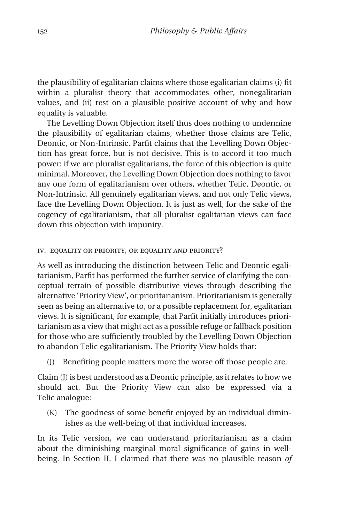the plausibility of egalitarian claims where those egalitarian claims (i) fit within a pluralist theory that accommodates other, nonegalitarian values, and (ii) rest on a plausible positive account of why and how equality is valuable.

The Levelling Down Objection itself thus does nothing to undermine the plausibility of egalitarian claims, whether those claims are Telic, Deontic, or Non-Intrinsic. Parfit claims that the Levelling Down Objection has great force, but is not decisive. This is to accord it too much power: if we are pluralist egalitarians, the force of this objection is quite minimal. Moreover, the Levelling Down Objection does nothing to favor any one form of egalitarianism over others, whether Telic, Deontic, or Non-Intrinsic. All genuinely egalitarian views, and not only Telic views, face the Levelling Down Objection. It is just as well, for the sake of the cogency of egalitarianism, that all pluralist egalitarian views can face down this objection with impunity.

### iv. equality or priority, or equality and priority?

As well as introducing the distinction between Telic and Deontic egalitarianism, Parfit has performed the further service of clarifying the conceptual terrain of possible distributive views through describing the alternative 'Priority View', or prioritarianism. Prioritarianism is generally seen as being an alternative to, or a possible replacement for, egalitarian views. It is significant, for example, that Parfit initially introduces prioritarianism as a view that might act as a possible refuge or fallback position for those who are sufficiently troubled by the Levelling Down Objection to abandon Telic egalitarianism. The Priority View holds that:

(J) Benefiting people matters more the worse off those people are.

Claim (J) is best understood as a Deontic principle, as it relates to how we should act. But the Priority View can also be expressed via a Telic analogue:

(K) The goodness of some benefit enjoyed by an individual diminishes as the well-being of that individual increases.

In its Telic version, we can understand prioritarianism as a claim about the diminishing marginal moral significance of gains in wellbeing. In Section II, I claimed that there was no plausible reason *of*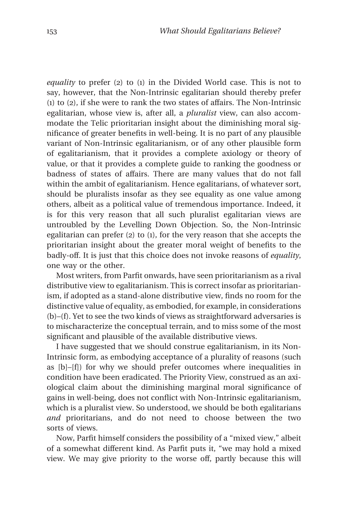*equality* to prefer (2) to (1) in the Divided World case. This is not to say, however, that the Non-Intrinsic egalitarian should thereby prefer (1) to (2), if she were to rank the two states of affairs. The Non-Intrinsic egalitarian, whose view is, after all, a *pluralist* view, can also accommodate the Telic prioritarian insight about the diminishing moral significance of greater benefits in well-being. It is no part of any plausible variant of Non-Intrinsic egalitarianism, or of any other plausible form of egalitarianism, that it provides a complete axiology or theory of value, or that it provides a complete guide to ranking the goodness or badness of states of affairs. There are many values that do not fall within the ambit of egalitarianism. Hence egalitarians, of whatever sort, should be pluralists insofar as they see equality as one value among others, albeit as a political value of tremendous importance. Indeed, it is for this very reason that all such pluralist egalitarian views are untroubled by the Levelling Down Objection. So, the Non-Intrinsic egalitarian can prefer (2) to (1), for the very reason that she accepts the prioritarian insight about the greater moral weight of benefits to the badly-off. It is just that this choice does not invoke reasons of *equality*, one way or the other.

Most writers, from Parfit onwards, have seen prioritarianism as a rival distributive view to egalitarianism. This is correct insofar as prioritarianism, if adopted as a stand-alone distributive view, finds no room for the distinctive value of equality, as embodied, for example, in considerations (b)–(f). Yet to see the two kinds of views as straightforward adversaries is to mischaracterize the conceptual terrain, and to miss some of the most significant and plausible of the available distributive views.

I have suggested that we should construe egalitarianism, in its Non-Intrinsic form, as embodying acceptance of a plurality of reasons (such as [b]–[f]) for why we should prefer outcomes where inequalities in condition have been eradicated. The Priority View, construed as an axiological claim about the diminishing marginal moral significance of gains in well-being, does not conflict with Non-Intrinsic egalitarianism, which is a pluralist view. So understood, we should be both egalitarians *and* prioritarians, and do not need to choose between the two sorts of views.

Now, Parfit himself considers the possibility of a "mixed view," albeit of a somewhat different kind. As Parfit puts it, "we may hold a mixed view. We may give priority to the worse off, partly because this will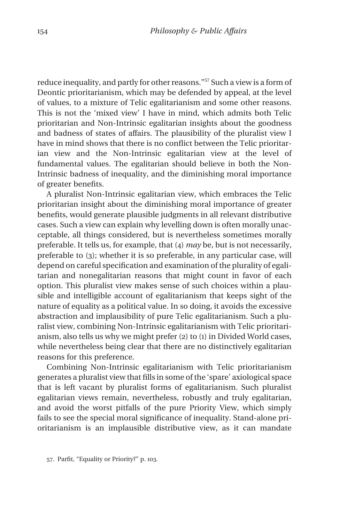reduce inequality, and partly for other reasons."57 Such a view is a form of Deontic prioritarianism, which may be defended by appeal, at the level of values, to a mixture of Telic egalitarianism and some other reasons. This is not the 'mixed view' I have in mind, which admits both Telic prioritarian and Non-Intrinsic egalitarian insights about the goodness and badness of states of affairs. The plausibility of the pluralist view I have in mind shows that there is no conflict between the Telic prioritarian view and the Non-Intrinsic egalitarian view at the level of fundamental values. The egalitarian should believe in both the Non-Intrinsic badness of inequality, and the diminishing moral importance of greater benefits.

A pluralist Non-Intrinsic egalitarian view, which embraces the Telic prioritarian insight about the diminishing moral importance of greater benefits, would generate plausible judgments in all relevant distributive cases. Such a view can explain why levelling down is often morally unacceptable, all things considered, but is nevertheless sometimes morally preferable. It tells us, for example, that (4) *may* be, but is not necessarily, preferable to (3); whether it is so preferable, in any particular case, will depend on careful specification and examination of the plurality of egalitarian and nonegalitarian reasons that might count in favor of each option. This pluralist view makes sense of such choices within a plausible and intelligible account of egalitarianism that keeps sight of the nature of equality as a political value. In so doing, it avoids the excessive abstraction and implausibility of pure Telic egalitarianism. Such a pluralist view, combining Non-Intrinsic egalitarianism with Telic prioritarianism, also tells us why we might prefer (2) to (1) in Divided World cases, while nevertheless being clear that there are no distinctively egalitarian reasons for this preference.

Combining Non-Intrinsic egalitarianism with Telic prioritarianism generates a pluralist view that fills in some of the 'spare' axiological space that is left vacant by pluralist forms of egalitarianism. Such pluralist egalitarian views remain, nevertheless, robustly and truly egalitarian, and avoid the worst pitfalls of the pure Priority View, which simply fails to see the special moral significance of inequality. Stand-alone prioritarianism is an implausible distributive view, as it can mandate

<sup>57</sup>. Parfit, "Equality or Priority?" p. 103.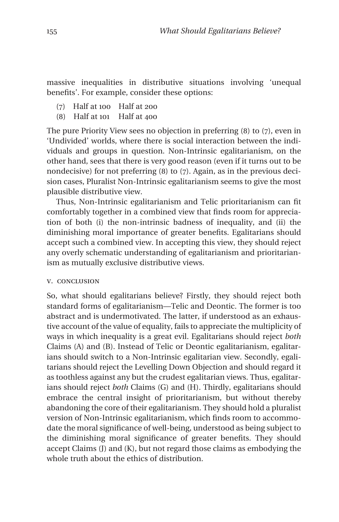massive inequalities in distributive situations involving 'unequal benefits'. For example, consider these options:

- (7) Half at 100 Half at 200
- (8) Half at 101 Half at 400

The pure Priority View sees no objection in preferring (8) to (7), even in 'Undivided' worlds, where there is social interaction between the individuals and groups in question. Non-Intrinsic egalitarianism, on the other hand, sees that there is very good reason (even if it turns out to be nondecisive) for not preferring (8) to (7). Again, as in the previous decision cases, Pluralist Non-Intrinsic egalitarianism seems to give the most plausible distributive view.

Thus, Non-Intrinsic egalitarianism and Telic prioritarianism can fit comfortably together in a combined view that finds room for appreciation of both (i) the non-intrinsic badness of inequality, and (ii) the diminishing moral importance of greater benefits. Egalitarians should accept such a combined view. In accepting this view, they should reject any overly schematic understanding of egalitarianism and prioritarianism as mutually exclusive distributive views.

v. conclusion

So, what should egalitarians believe? Firstly, they should reject both standard forms of egalitarianism—Telic and Deontic. The former is too abstract and is undermotivated. The latter, if understood as an exhaustive account of the value of equality, fails to appreciate the multiplicity of ways in which inequality is a great evil. Egalitarians should reject *both* Claims (A) and (B). Instead of Telic or Deontic egalitarianism, egalitarians should switch to a Non-Intrinsic egalitarian view. Secondly, egalitarians should reject the Levelling Down Objection and should regard it as toothless against any but the crudest egalitarian views. Thus, egalitarians should reject *both* Claims (G) and (H). Thirdly, egalitarians should embrace the central insight of prioritarianism, but without thereby abandoning the core of their egalitarianism. They should hold a pluralist version of Non-Intrinsic egalitarianism, which finds room to accommodate the moral significance of well-being, understood as being subject to the diminishing moral significance of greater benefits. They should accept Claims (J) and (K), but not regard those claims as embodying the whole truth about the ethics of distribution.